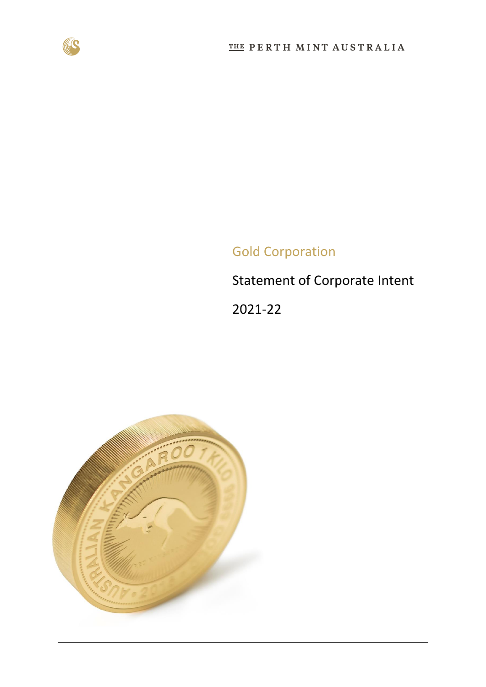

# Gold Corporation

Statement of Corporate Intent

2021-22

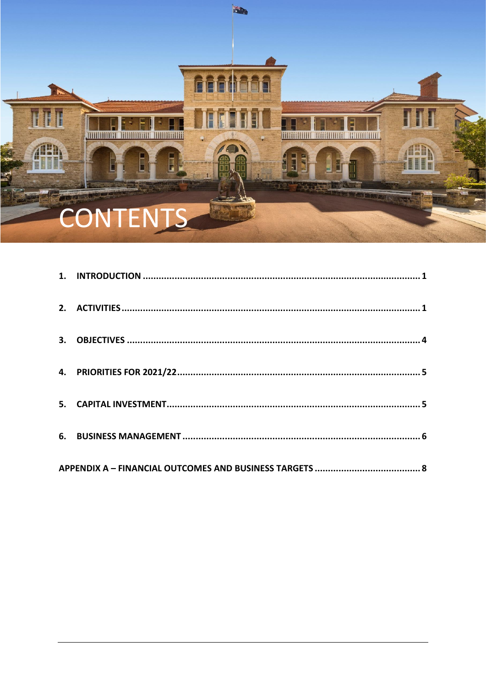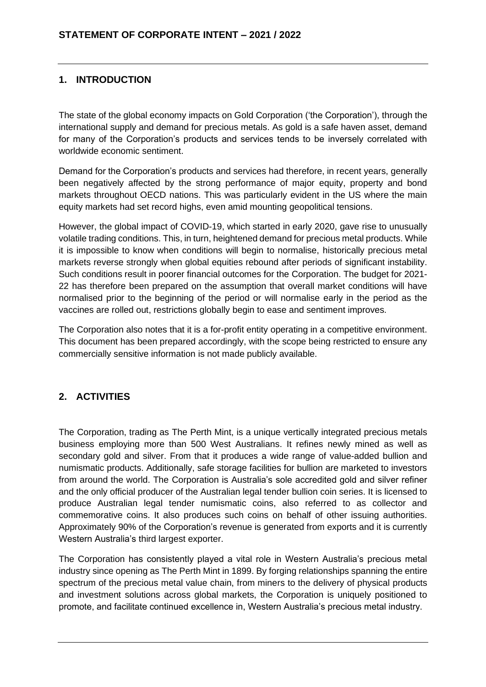# <span id="page-2-0"></span>**1. INTRODUCTION**

The state of the global economy impacts on Gold Corporation ('the Corporation'), through the international supply and demand for precious metals. As gold is a safe haven asset, demand for many of the Corporation's products and services tends to be inversely correlated with worldwide economic sentiment.

Demand for the Corporation's products and services had therefore, in recent years, generally been negatively affected by the strong performance of major equity, property and bond markets throughout OECD nations. This was particularly evident in the US where the main equity markets had set record highs, even amid mounting geopolitical tensions.

However, the global impact of COVID-19, which started in early 2020, gave rise to unusually volatile trading conditions. This, in turn, heightened demand for precious metal products. While it is impossible to know when conditions will begin to normalise, historically precious metal markets reverse strongly when global equities rebound after periods of significant instability. Such conditions result in poorer financial outcomes for the Corporation. The budget for 2021- 22 has therefore been prepared on the assumption that overall market conditions will have normalised prior to the beginning of the period or will normalise early in the period as the vaccines are rolled out, restrictions globally begin to ease and sentiment improves.

The Corporation also notes that it is a for-profit entity operating in a competitive environment. This document has been prepared accordingly, with the scope being restricted to ensure any commercially sensitive information is not made publicly available.

# <span id="page-2-1"></span>**2. ACTIVITIES**

The Corporation, trading as The Perth Mint, is a unique vertically integrated precious metals business employing more than 500 West Australians. It refines newly mined as well as secondary gold and silver. From that it produces a wide range of value-added bullion and numismatic products. Additionally, safe storage facilities for bullion are marketed to investors from around the world. The Corporation is Australia's sole accredited gold and silver refiner and the only official producer of the Australian legal tender bullion coin series. It is licensed to produce Australian legal tender numismatic coins, also referred to as collector and commemorative coins. It also produces such coins on behalf of other issuing authorities. Approximately 90% of the Corporation's revenue is generated from exports and it is currently Western Australia's third largest exporter.

The Corporation has consistently played a vital role in Western Australia's precious metal industry since opening as The Perth Mint in 1899. By forging relationships spanning the entire spectrum of the precious metal value chain, from miners to the delivery of physical products and investment solutions across global markets, the Corporation is uniquely positioned to promote, and facilitate continued excellence in, Western Australia's precious metal industry.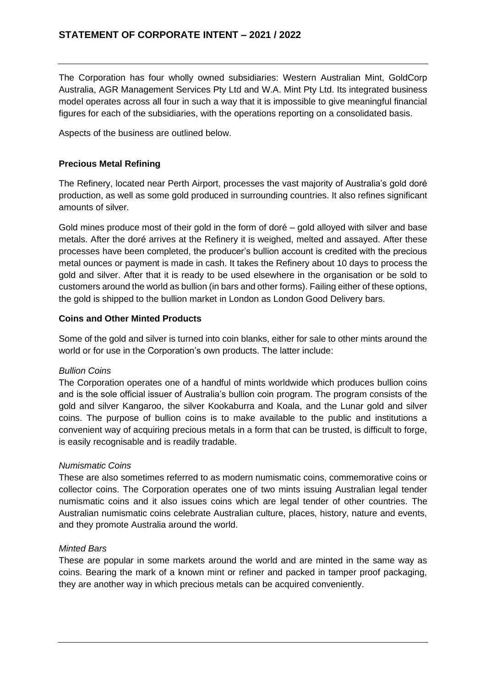The Corporation has four wholly owned subsidiaries: Western Australian Mint, GoldCorp Australia, AGR Management Services Pty Ltd and W.A. Mint Pty Ltd. Its integrated business model operates across all four in such a way that it is impossible to give meaningful financial figures for each of the subsidiaries, with the operations reporting on a consolidated basis.

Aspects of the business are outlined below.

## **Precious Metal Refining**

The Refinery, located near Perth Airport, processes the vast majority of Australia's gold doré production, as well as some gold produced in surrounding countries. It also refines significant amounts of silver.

Gold mines produce most of their gold in the form of doré – gold alloyed with silver and base metals. After the doré arrives at the Refinery it is weighed, melted and assayed. After these processes have been completed, the producer's bullion account is credited with the precious metal ounces or payment is made in cash. It takes the Refinery about 10 days to process the gold and silver. After that it is ready to be used elsewhere in the organisation or be sold to customers around the world as bullion (in bars and other forms). Failing either of these options, the gold is shipped to the bullion market in London as London Good Delivery bars.

### **Coins and Other Minted Products**

Some of the gold and silver is turned into coin blanks, either for sale to other mints around the world or for use in the Corporation's own products. The latter include:

#### *Bullion Coins*

The Corporation operates one of a handful of mints worldwide which produces bullion coins and is the sole official issuer of Australia's bullion coin program. The program consists of the gold and silver Kangaroo, the silver Kookaburra and Koala, and the Lunar gold and silver coins. The purpose of bullion coins is to make available to the public and institutions a convenient way of acquiring precious metals in a form that can be trusted, is difficult to forge, is easily recognisable and is readily tradable.

#### *Numismatic Coins*

These are also sometimes referred to as modern numismatic coins, commemorative coins or collector coins. The Corporation operates one of two mints issuing Australian legal tender numismatic coins and it also issues coins which are legal tender of other countries. The Australian numismatic coins celebrate Australian culture, places, history, nature and events, and they promote Australia around the world.

#### *Minted Bars*

These are popular in some markets around the world and are minted in the same way as coins. Bearing the mark of a known mint or refiner and packed in tamper proof packaging, they are another way in which precious metals can be acquired conveniently.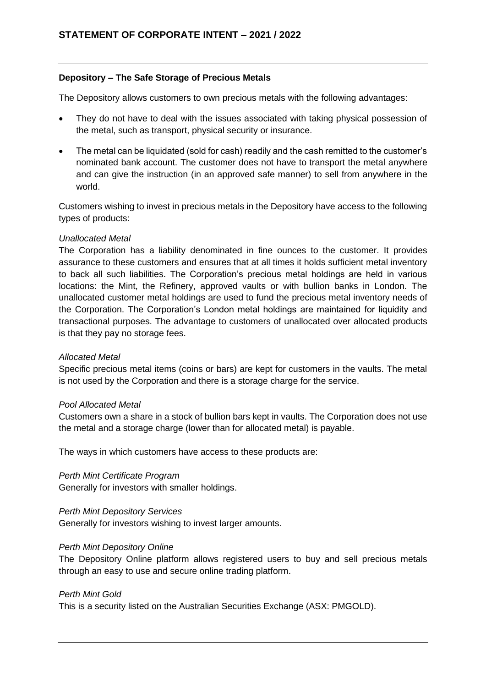#### **Depository – The Safe Storage of Precious Metals**

The Depository allows customers to own precious metals with the following advantages:

- They do not have to deal with the issues associated with taking physical possession of the metal, such as transport, physical security or insurance.
- The metal can be liquidated (sold for cash) readily and the cash remitted to the customer's nominated bank account. The customer does not have to transport the metal anywhere and can give the instruction (in an approved safe manner) to sell from anywhere in the world.

Customers wishing to invest in precious metals in the Depository have access to the following types of products:

#### *Unallocated Metal*

The Corporation has a liability denominated in fine ounces to the customer. It provides assurance to these customers and ensures that at all times it holds sufficient metal inventory to back all such liabilities. The Corporation's precious metal holdings are held in various locations: the Mint, the Refinery, approved vaults or with bullion banks in London. The unallocated customer metal holdings are used to fund the precious metal inventory needs of the Corporation. The Corporation's London metal holdings are maintained for liquidity and transactional purposes. The advantage to customers of unallocated over allocated products is that they pay no storage fees.

#### *Allocated Metal*

Specific precious metal items (coins or bars) are kept for customers in the vaults. The metal is not used by the Corporation and there is a storage charge for the service.

#### *Pool Allocated Metal*

Customers own a share in a stock of bullion bars kept in vaults. The Corporation does not use the metal and a storage charge (lower than for allocated metal) is payable.

The ways in which customers have access to these products are:

*Perth Mint Certificate Program*

Generally for investors with smaller holdings.

#### *Perth Mint Depository Services*

Generally for investors wishing to invest larger amounts.

#### *Perth Mint Depository Online*

The Depository Online platform allows registered users to buy and sell precious metals through an easy to use and secure online trading platform.

#### *Perth Mint Gold*

This is a security listed on the Australian Securities Exchange (ASX: PMGOLD).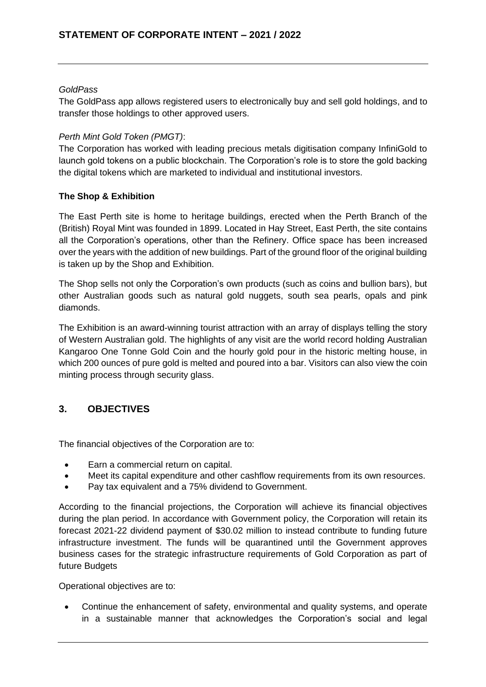#### *GoldPass*

The GoldPass app allows registered users to electronically buy and sell gold holdings, and to transfer those holdings to other approved users.

### *Perth Mint Gold Token (PMGT)*:

The Corporation has worked with leading precious metals digitisation company InfiniGold to launch gold tokens on a public blockchain. The Corporation's role is to store the gold backing the digital tokens which are marketed to individual and institutional investors.

### **The Shop & Exhibition**

The East Perth site is home to heritage buildings, erected when the Perth Branch of the (British) Royal Mint was founded in 1899. Located in Hay Street, East Perth, the site contains all the Corporation's operations, other than the Refinery. Office space has been increased over the years with the addition of new buildings. Part of the ground floor of the original building is taken up by the Shop and Exhibition.

The Shop sells not only the Corporation's own products (such as coins and bullion bars), but other Australian goods such as natural gold nuggets, south sea pearls, opals and pink diamonds.

The Exhibition is an award-winning tourist attraction with an array of displays telling the story of Western Australian gold. The highlights of any visit are the world record holding Australian Kangaroo One Tonne Gold Coin and the hourly gold pour in the historic melting house, in which 200 ounces of pure gold is melted and poured into a bar. Visitors can also view the coin minting process through security glass.

# <span id="page-5-0"></span>**3. OBJECTIVES**

The financial objectives of the Corporation are to:

- Earn a commercial return on capital.
- Meet its capital expenditure and other cashflow requirements from its own resources.
- Pay tax equivalent and a 75% dividend to Government.

According to the financial projections, the Corporation will achieve its financial objectives during the plan period. In accordance with Government policy, the Corporation will retain its forecast 2021-22 dividend payment of \$30.02 million to instead contribute to funding future infrastructure investment. The funds will be quarantined until the Government approves business cases for the strategic infrastructure requirements of Gold Corporation as part of future Budgets

Operational objectives are to:

• Continue the enhancement of safety, environmental and quality systems, and operate in a sustainable manner that acknowledges the Corporation's social and legal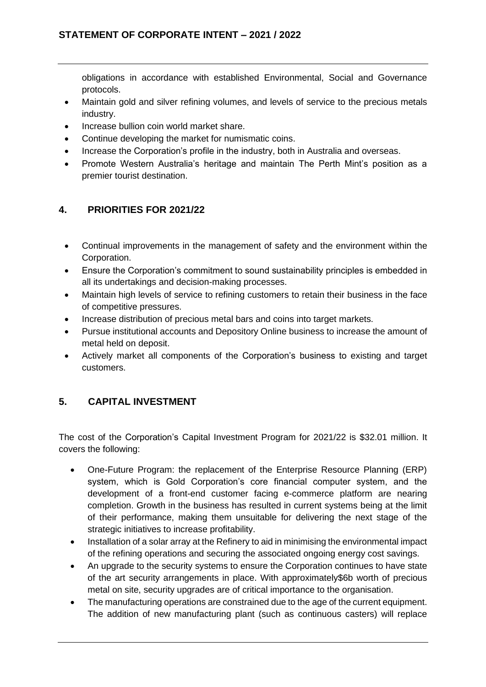obligations in accordance with established Environmental, Social and Governance protocols.

- Maintain gold and silver refining volumes, and levels of service to the precious metals industry.
- Increase bullion coin world market share.
- Continue developing the market for numismatic coins.
- Increase the Corporation's profile in the industry, both in Australia and overseas.
- Promote Western Australia's heritage and maintain The Perth Mint's position as a premier tourist destination.

# <span id="page-6-0"></span>**4. PRIORITIES FOR 2021/22**

- Continual improvements in the management of safety and the environment within the Corporation.
- Ensure the Corporation's commitment to sound sustainability principles is embedded in all its undertakings and decision-making processes.
- Maintain high levels of service to refining customers to retain their business in the face of competitive pressures.
- Increase distribution of precious metal bars and coins into target markets.
- Pursue institutional accounts and Depository Online business to increase the amount of metal held on deposit.
- Actively market all components of the Corporation's business to existing and target customers.

# <span id="page-6-1"></span>**5. CAPITAL INVESTMENT**

The cost of the Corporation's Capital Investment Program for 2021/22 is \$32.01 million. It covers the following:

- One-Future Program: the replacement of the Enterprise Resource Planning (ERP) system, which is Gold Corporation's core financial computer system, and the development of a front-end customer facing e-commerce platform are nearing completion. Growth in the business has resulted in current systems being at the limit of their performance, making them unsuitable for delivering the next stage of the strategic initiatives to increase profitability.
- Installation of a solar array at the Refinery to aid in minimising the environmental impact of the refining operations and securing the associated ongoing energy cost savings.
- An upgrade to the security systems to ensure the Corporation continues to have state of the art security arrangements in place. With approximately\$6b worth of precious metal on site, security upgrades are of critical importance to the organisation.
- The manufacturing operations are constrained due to the age of the current equipment. The addition of new manufacturing plant (such as continuous casters) will replace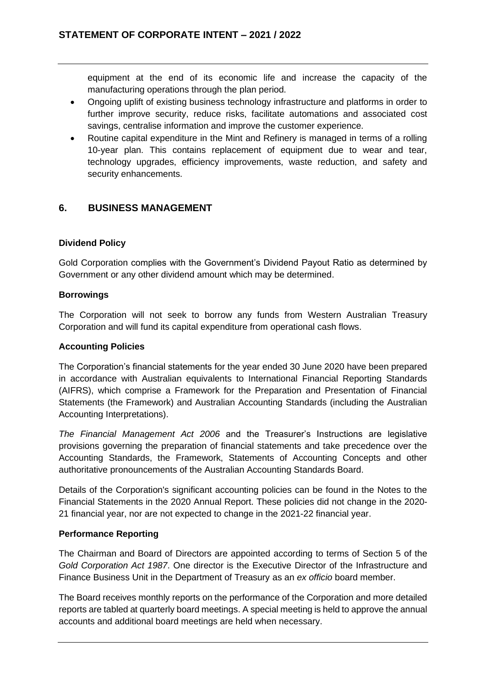equipment at the end of its economic life and increase the capacity of the manufacturing operations through the plan period.

- Ongoing uplift of existing business technology infrastructure and platforms in order to further improve security, reduce risks, facilitate automations and associated cost savings, centralise information and improve the customer experience.
- Routine capital expenditure in the Mint and Refinery is managed in terms of a rolling 10-year plan. This contains replacement of equipment due to wear and tear, technology upgrades, efficiency improvements, waste reduction, and safety and security enhancements.

## <span id="page-7-0"></span>**6. BUSINESS MANAGEMENT**

### **Dividend Policy**

Gold Corporation complies with the Government's Dividend Payout Ratio as determined by Government or any other dividend amount which may be determined.

#### **Borrowings**

The Corporation will not seek to borrow any funds from Western Australian Treasury Corporation and will fund its capital expenditure from operational cash flows.

#### **Accounting Policies**

The Corporation's financial statements for the year ended 30 June 2020 have been prepared in accordance with Australian equivalents to International Financial Reporting Standards (AIFRS), which comprise a Framework for the Preparation and Presentation of Financial Statements (the Framework) and Australian Accounting Standards (including the Australian Accounting Interpretations).

*The Financial Management Act 2006* and the Treasurer's Instructions are legislative provisions governing the preparation of financial statements and take precedence over the Accounting Standards, the Framework, Statements of Accounting Concepts and other authoritative pronouncements of the Australian Accounting Standards Board.

Details of the Corporation's significant accounting policies can be found in the Notes to the Financial Statements in the 2020 Annual Report. These policies did not change in the 2020- 21 financial year, nor are not expected to change in the 2021-22 financial year.

#### **Performance Reporting**

The Chairman and Board of Directors are appointed according to terms of Section 5 of the *Gold Corporation Act 1987*. One director is the Executive Director of the Infrastructure and Finance Business Unit in the Department of Treasury as an *ex officio* board member.

The Board receives monthly reports on the performance of the Corporation and more detailed reports are tabled at quarterly board meetings. A special meeting is held to approve the annual accounts and additional board meetings are held when necessary.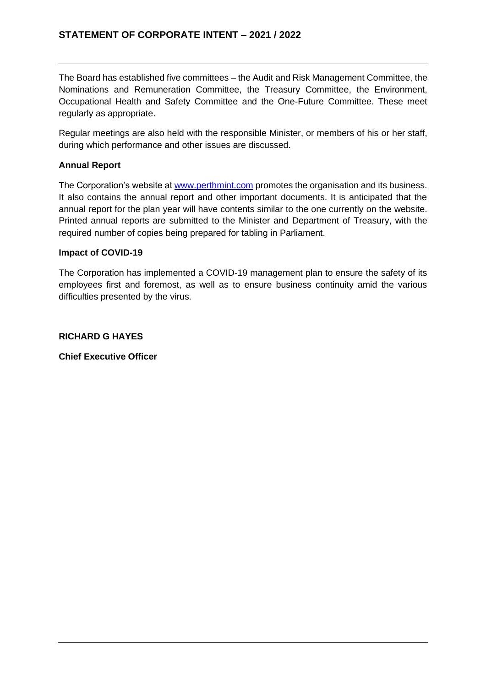The Board has established five committees – the Audit and Risk Management Committee, the Nominations and Remuneration Committee, the Treasury Committee, the Environment, Occupational Health and Safety Committee and the One-Future Committee. These meet regularly as appropriate.

Regular meetings are also held with the responsible Minister, or members of his or her staff, during which performance and other issues are discussed.

## **Annual Report**

The Corporation's website at www.perthmint.com promotes the organisation and its business. It also contains the annual report and other important documents. It is anticipated that the annual report for the plan year will have contents similar to the one currently on the website. Printed annual reports are submitted to the Minister and Department of Treasury, with the required number of copies being prepared for tabling in Parliament.

#### **Impact of COVID-19**

The Corporation has implemented a COVID-19 management plan to ensure the safety of its employees first and foremost, as well as to ensure business continuity amid the various difficulties presented by the virus.

## **RICHARD G HAYES**

**Chief Executive Officer**